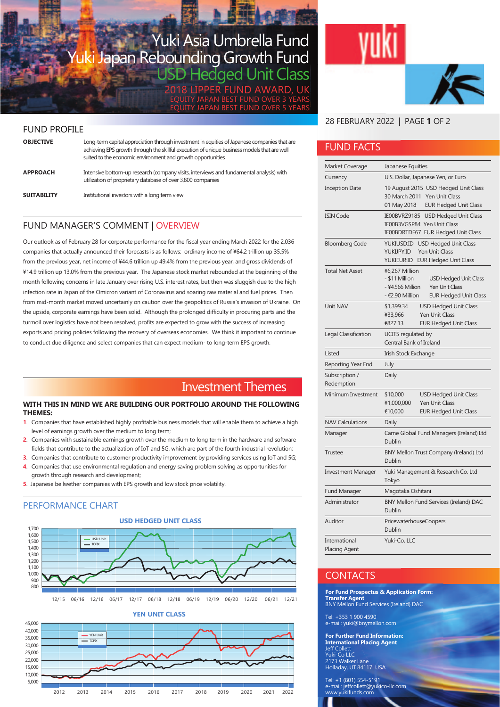## Yuki Asia Umbrella Fund Yuki Japan Rebounding Growth Fund Hedged Unit Class

LIPPER FUND AWARD, UK EQUITY JAPAN BEST FUND OVER 3 YEARS EQUITY JAPAN BEST FUND OVER 5 YEARS

## FUND PROFILE

| <b>OBJECTIVE</b>   | Long-term capital appreciation through investment in equities of Japanese companies that are<br>achieving EPS growth through the skillful execution of unique business models that are well<br>suited to the economic environment and growth opportunities |
|--------------------|------------------------------------------------------------------------------------------------------------------------------------------------------------------------------------------------------------------------------------------------------------|
| <b>APPROACH</b>    | Intensive bottom-up research (company visits, interviews and fundamental analysis) with<br>utilization of proprietary database of over 3,800 companies                                                                                                     |
| <b>SUITABILITY</b> | Institutional investors with a long term view                                                                                                                                                                                                              |

## FUND MANAGER'S COMMENT | OVERVIEW

Our outlook as of February 28 for corporate performance for the fiscal year ending March 2022 for the 2,036 companies that actually announced their forecasts is as follows: ordinary income of ¥64.2 trillion up 35.5% from the previous year, net income of ¥44.6 trillion up 49.4% from the previous year, and gross dividends of ¥14.9 trillion up 13.0% from the previous year. The Japanese stock market rebounded at the beginning of the month following concerns in late January over rising U.S. interest rates, but then was sluggish due to the high infection rate in Japan of the Omicron variant of Coronavirus and soaring raw material and fuel prices. Then from mid-month market moved uncertainly on caution over the geopolitics of Russia's invasion of Ukraine. On the upside, corporate earnings have been solid. Although the prolonged difficulty in procuring parts and the turmoil over logistics have not been resolved, profits are expected to grow with the success of increasing exports and pricing policies following the recovery of overseas economies. We think it important to continue to conduct due diligence and select companies that can expect medium- to long-term EPS growth.

## Investment Themes

#### **WITH THIS IN MIND WE ARE BUILDING OUR PORTFOLIO AROUND THE FOLLOWING THEMES:**

- **1**. Companies that have established highly profitable business models that will enable them to achieve a high level of earnings growth over the medium to long term;
- **2**. Companies with sustainable earnings growth over the medium to long term in the hardware and software fields that contribute to the actualization of IoT and 5G, which are part of the fourth industrial revolution;
- **3**. Companies that contribute to customer productivity improvement by providing services using IoT and 5G;
- **4**. Companies that use environmental regulation and energy saving problem solving as opportunities for growth through research and development;
- **5**. Japanese bellwether companies with EPS growth and low stock price volatility.

## PERFORMANCE CHART





## 28 FEBRUARY 2022 | PAGE **1** OF 2

## FUND FACTS

| Market Coverage                       | Japanese Equities                                                                                                                                                |  |  |  |
|---------------------------------------|------------------------------------------------------------------------------------------------------------------------------------------------------------------|--|--|--|
| Currency                              | U.S. Dollar, Japanese Yen, or Euro                                                                                                                               |  |  |  |
| <b>Inception Date</b>                 | 19 August 2015 USD Hedged Unit Class<br>30 March 2011<br>Yen Unit Class<br>01 May 2018<br><b>EUR Hedged Unit Class</b>                                           |  |  |  |
| <b>ISIN Code</b>                      | IE00BVRZ9185 USD Hedged Unit Class<br>IE00B3VGSP84 Yen Unit Class<br>IE00BDRTDF67 EUR Hedged Unit Class                                                          |  |  |  |
| <b>Bloomberg Code</b>                 | YUKIUSD:ID USD Hedged Unit Class<br>YUKIJPY:ID<br><b>Yen Unit Class</b><br>YUKIEUR:ID EUR Hedged Unit Class                                                      |  |  |  |
| <b>Total Net Asset</b>                | ¥6,267 Million<br>- \$11 Million<br><b>USD Hedged Unit Class</b><br>- ¥4.566 Million<br><b>Yen Unit Class</b><br>- €2.90 Million<br><b>EUR Hedged Unit Class</b> |  |  |  |
| Unit NAV                              | \$1,399.34<br><b>USD Hedged Unit Class</b><br>¥33,966<br><b>Yen Unit Class</b><br><b>EUR Hedged Unit Class</b><br>€827.13                                        |  |  |  |
| Legal Classification                  | UCITS regulated by<br>Central Bank of Ireland                                                                                                                    |  |  |  |
| Listed                                | Irish Stock Exchange                                                                                                                                             |  |  |  |
| Reporting Year End                    | July                                                                                                                                                             |  |  |  |
| Subscription /<br>Redemption          | Daily                                                                                                                                                            |  |  |  |
| Minimum Investment                    | \$10,000<br><b>USD Hedged Unit Class</b><br>Yen Unit Class<br>¥1,000,000<br><b>EUR Hedged Unit Class</b><br>€10,000                                              |  |  |  |
| <b>NAV Calculations</b>               | Daily                                                                                                                                                            |  |  |  |
| Manager                               | Carne Global Fund Managers (Ireland) Ltd<br>Dublin                                                                                                               |  |  |  |
| Trustee                               | BNY Mellon Trust Company (Ireland) Ltd<br>Dublin                                                                                                                 |  |  |  |
| <b>Investment Manager</b>             | Yuki Management & Research Co. Ltd<br>Tokyo                                                                                                                      |  |  |  |
| Fund Manager                          | Magotaka Oshitani                                                                                                                                                |  |  |  |
| Administrator                         | BNY Mellon Fund Services (Ireland) DAC<br>Dublin                                                                                                                 |  |  |  |
| Auditor                               | PricewaterhouseCoopers<br>Dublin                                                                                                                                 |  |  |  |
| International<br><b>Placing Agent</b> | Yuki-Co, LLC                                                                                                                                                     |  |  |  |

## **CONTACTS**

**For Fund Prospectus & Application Form: Transfer Agent**  BNY Mellon Fund Services (Ireland) DAC

Tel: +353 1 900 4590 e-mail: yuki@bnymellon.com

**For Further Fund Information: International Placing Agent** Jeff Collett Yuki-Co LLC 2173 Walker Lane Holladay, UT 84117 USA

Tel: +1 (801) 554-5191 e-mail: jeffcollett@yukico-llc.com www.yukifunds.com